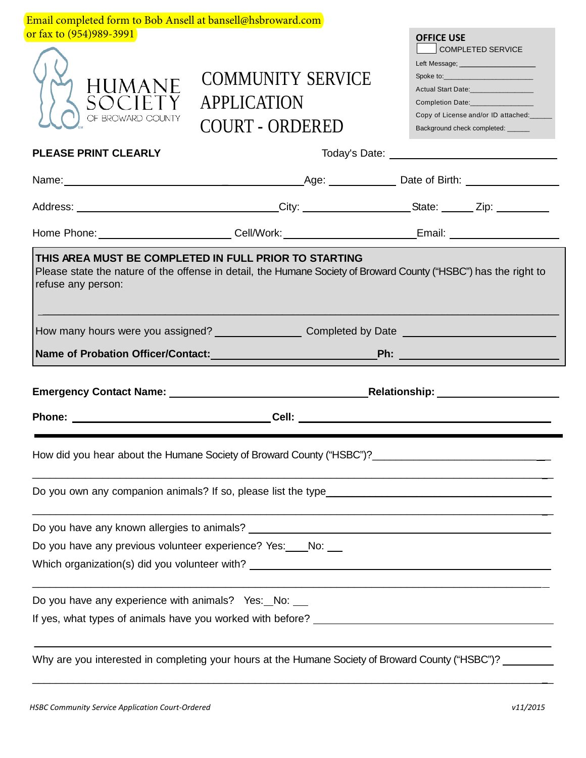| Email completed form to Bob Ansell at bansell@hsbroward.com      |                                                                                                                                                                           |                                                                                                                                                                                                                          |
|------------------------------------------------------------------|---------------------------------------------------------------------------------------------------------------------------------------------------------------------------|--------------------------------------------------------------------------------------------------------------------------------------------------------------------------------------------------------------------------|
| or fax to (954)989-3991                                          |                                                                                                                                                                           | <b>OFFICE USE</b>                                                                                                                                                                                                        |
| <b>HUMANE</b><br>SOCIET <sup>.</sup><br>OF BROWARD COUNTY        | <b>COMMUNITY SERVICE</b><br><b>APPLICATION</b><br><b>COURT - ORDERED</b>                                                                                                  | <b>COMPLETED SERVICE</b><br>Left Message; ________________________<br>Actual Start Date:________________<br>Completion Date:_______________<br>Copy of License and/or ID attached:<br>Background check completed: ______ |
| <b>PLEASE PRINT CLEARLY</b>                                      |                                                                                                                                                                           |                                                                                                                                                                                                                          |
|                                                                  |                                                                                                                                                                           |                                                                                                                                                                                                                          |
|                                                                  |                                                                                                                                                                           |                                                                                                                                                                                                                          |
|                                                                  | Home Phone: ___________________________Cell/Work: _____________________________Email: ________________________                                                            |                                                                                                                                                                                                                          |
| refuse any person:                                               | THIS AREA MUST BE COMPLETED IN FULL PRIOR TO STARTING<br>Please state the nature of the offense in detail, the Humane Society of Broward County ("HSBC") has the right to |                                                                                                                                                                                                                          |
|                                                                  | How many hours were you assigned? _______________________Completed by Date ___________________________________                                                            |                                                                                                                                                                                                                          |
|                                                                  |                                                                                                                                                                           |                                                                                                                                                                                                                          |
|                                                                  |                                                                                                                                                                           |                                                                                                                                                                                                                          |
|                                                                  |                                                                                                                                                                           |                                                                                                                                                                                                                          |
|                                                                  |                                                                                                                                                                           |                                                                                                                                                                                                                          |
|                                                                  |                                                                                                                                                                           |                                                                                                                                                                                                                          |
|                                                                  |                                                                                                                                                                           |                                                                                                                                                                                                                          |
|                                                                  |                                                                                                                                                                           |                                                                                                                                                                                                                          |
|                                                                  |                                                                                                                                                                           |                                                                                                                                                                                                                          |
| Do you have any previous volunteer experience? Yes: ____ No: ___ |                                                                                                                                                                           |                                                                                                                                                                                                                          |
|                                                                  |                                                                                                                                                                           |                                                                                                                                                                                                                          |
| Do you have any experience with animals? Yes: No: _              |                                                                                                                                                                           |                                                                                                                                                                                                                          |
|                                                                  |                                                                                                                                                                           |                                                                                                                                                                                                                          |
|                                                                  | Why are you interested in completing your hours at the Humane Society of Broward County ("HSBC")?                                                                         |                                                                                                                                                                                                                          |

\_\_\_\_\_\_\_\_\_\_\_\_\_\_\_\_\_\_\_\_\_\_\_\_\_\_\_\_\_\_\_\_\_\_\_\_\_\_\_\_\_\_\_\_\_\_\_\_\_\_\_\_\_\_\_\_\_\_\_\_\_\_\_\_\_\_\_\_\_\_\_\_\_\_\_\_\_\_\_\_\_\_\_\_\_\_\_\_\_